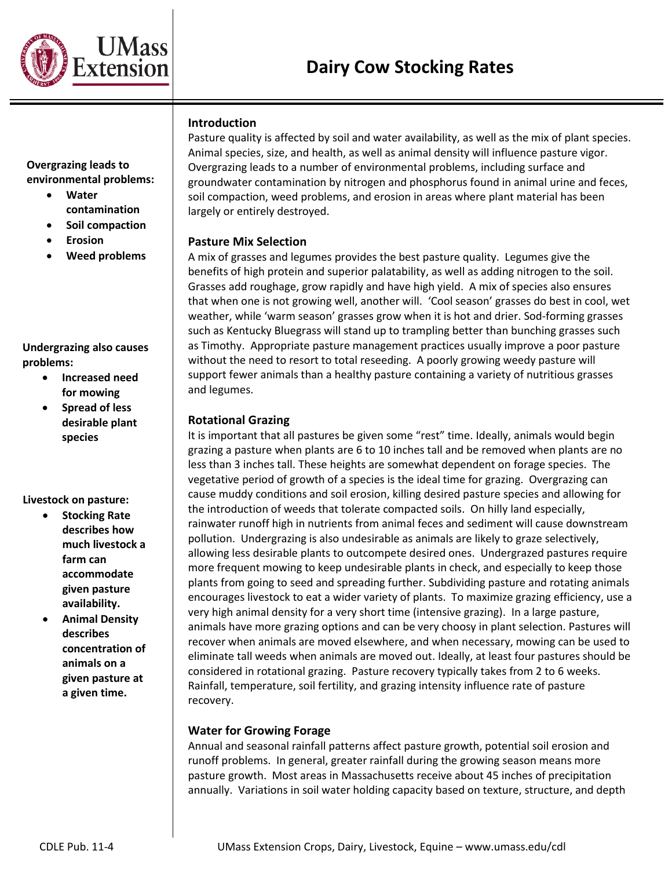

## **Introduction**

**Overgrazing leads to environmental problems:**

- **Water contamination**
- **Soil compaction**
- **Erosion**
- **Weed problems**

#### **Undergrazing also causes problems:**

- **Increased need for mowing**
- **Spread of less desirable plant species**

## **Livestock on pasture:**

- **Stocking Rate describes how much livestock a farm can accommodate given pasture availability.**
- **Animal Density describes concentration of animals on a given pasture at a given time.**

Pasture quality is affected by soil and water availability, as well as the mix of plant species. Animal species, size, and health, as well as animal density will influence pasture vigor. Overgrazing leads to a number of environmental problems, including surface and groundwater contamination by nitrogen and phosphorus found in animal urine and feces, soil compaction, weed problems, and erosion in areas where plant material has been largely or entirely destroyed.

#### **Pasture Mix Selection**

A mix of grasses and legumes provides the best pasture quality. Legumes give the benefits of high protein and superior palatability, as well as adding nitrogen to the soil. Grasses add roughage, grow rapidly and have high yield. A mix of species also ensures that when one is not growing well, another will. 'Cool season' grasses do best in cool, wet weather, while 'warm season' grasses grow when it is hot and drier. Sod-forming grasses such as Kentucky Bluegrass will stand up to trampling better than bunching grasses such as Timothy. Appropriate pasture management practices usually improve a poor pasture without the need to resort to total reseeding. A poorly growing weedy pasture will support fewer animals than a healthy pasture containing a variety of nutritious grasses and legumes.

#### **Rotational Grazing**

It is important that all pastures be given some "rest" time. Ideally, animals would begin grazing a pasture when plants are 6 to 10 inches tall and be removed when plants are no less than 3 inches tall. These heights are somewhat dependent on forage species. The vegetative period of growth of a species is the ideal time for grazing. Overgrazing can cause muddy conditions and soil erosion, killing desired pasture species and allowing for the introduction of weeds that tolerate compacted soils. On hilly land especially, rainwater runoff high in nutrients from animal feces and sediment will cause downstream pollution. Undergrazing is also undesirable as animals are likely to graze selectively, allowing less desirable plants to outcompete desired ones. Undergrazed pastures require more frequent mowing to keep undesirable plants in check, and especially to keep those plants from going to seed and spreading further. Subdividing pasture and rotating animals encourages livestock to eat a wider variety of plants. To maximize grazing efficiency, use a very high animal density for a very short time (intensive grazing). In a large pasture, animals have more grazing options and can be very choosy in plant selection. Pastures will recover when animals are moved elsewhere, and when necessary, mowing can be used to eliminate tall weeds when animals are moved out. Ideally, at least four pastures should be considered in rotational grazing. Pasture recovery typically takes from 2 to 6 weeks. Rainfall, temperature, soil fertility, and grazing intensity influence rate of pasture recovery.

## **Water for Growing Forage**

Annual and seasonal rainfall patterns affect pasture growth, potential soil erosion and runoff problems. In general, greater rainfall during the growing season means more pasture growth. Most areas in Massachusetts receive about 45 inches of precipitation annually. Variations in soil water holding capacity based on texture, structure, and depth